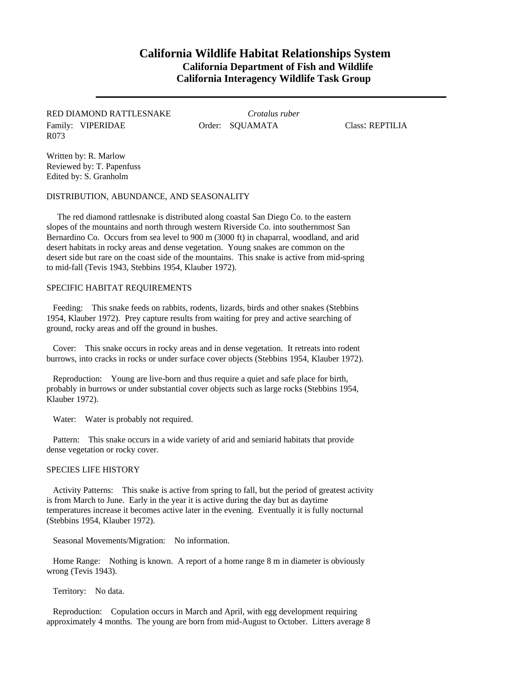# **California Wildlife Habitat Relationships System California Department of Fish and Wildlife California Interagency Wildlife Task Group**

## RED DIAMOND RATTLESNAKE *Crotalus ruber* Family: VIPERIDAE **Order: SQUAMATA** Class: REPTILIA R073

Written by: R. Marlow Reviewed by: T. Papenfuss Edited by: S. Granholm

DISTRIBUTION, ABUNDANCE, AND SEASONALITY

The red diamond rattlesnake is distributed along coastal San Diego Co. to the eastern slopes of the mountains and north through western Riverside Co. into southernmost San Bernardino Co. Occurs from sea level to 900 m (3000 ft) in chaparral, woodland, and arid desert habitats in rocky areas and dense vegetation. Young snakes are common on the desert side but rare on the coast side of the mountains. This snake is active from mid-spring to mid-fall (Tevis 1943, Stebbins 1954, Klauber 1972).

### SPECIFIC HABITAT REQUIREMENTS

Feeding: This snake feeds on rabbits, rodents, lizards, birds and other snakes (Stebbins 1954, Klauber 1972). Prey capture results from waiting for prey and active searching of ground, rocky areas and off the ground in bushes.

Cover: This snake occurs in rocky areas and in dense vegetation. It retreats into rodent burrows, into cracks in rocks or under surface cover objects (Stebbins 1954, Klauber 1972).

Reproduction: Young are live-born and thus require a quiet and safe place for birth, probably in burrows or under substantial cover objects such as large rocks (Stebbins 1954, Klauber 1972).

Water: Water is probably not required.

Pattern: This snake occurs in a wide variety of arid and semiarid habitats that provide dense vegetation or rocky cover.

#### SPECIES LIFE HISTORY

Activity Patterns: This snake is active from spring to fall, but the period of greatest activity is from March to June. Early in the year it is active during the day but as daytime temperatures increase it becomes active later in the evening. Eventually it is fully nocturnal (Stebbins 1954, Klauber 1972).

Seasonal Movements/Migration: No information.

Home Range: Nothing is known. A report of a home range 8 m in diameter is obviously wrong (Tevis 1943).

Territory: No data.

Reproduction: Copulation occurs in March and April, with egg development requiring approximately 4 months. The young are born from mid-August to October. Litters average 8